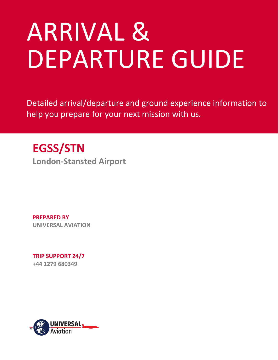# ARRIVAL & DEPARTURE GUIDE

Detailed arrival/departure and ground experience information to help you prepare for your next mission with us.

## **EGSS/STN**

**London-Stansted Airport** 

**PREPARED BY UNIVERSAL AVIATION** 

**TRIP SUPPORT 24/7 +44 1279 680349**

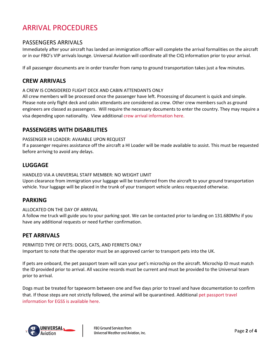## ARRIVAL PROCEDURES

#### PASSENGERS ARRIVALS

Immediately after your aircraft has landed an immigration officer will complete the arrival formalities on the aircraft or in our FBO's VIP arrivals lounge. Universal Aviation will coordinate all the CIQ information prior to your arrival.

If all passenger documents are in order transfer from ramp to ground transportation takes just a few minutes.

#### **CREW ARRIVALS**

#### A CREW IS CONSIDERED FLIGHT DECK AND CABIN ATTENDANTS ONLY

All crew members will be processed once the passenger have left. Processing of document is quick and simple. Please note only flight deck and cabin attendants are considered as crew. Other crew members such as ground engineers are classed as passengers. Will require the necessary documents to enter the country. They may require a visa depending upon nationality. View additional [crew arrival information here.](https://www.universalweather.com/blog/business-aircraft-operations-in-the-uk-ground-handling/)

#### **PASSENGERS WITH DISABILITIES**

#### PASSENGER HI LOADER: AVAIABLE UPON REQUEST

If a passenger requires assistance off the aircraft a HI Loader will be made available to assist. This must be requested before arriving to avoid any delays.

#### **LUGGAGE**

HANDLED VIA A UNIVERSAL STAFF MEMBER: NO WEIGHT LIMIT

Upon clearance from immigration your luggage will be transferred from the aircraft to your ground transportation vehicle. Your luggage will be placed in the trunk of your transport vehicle unless requested otherwise.

#### **PARKING**

#### ALLOCATED ON THE DAY OF ARRIVAL

A follow me truck will guide you to your parking spot. We can be contacted prior to landing on 131.680Mhz if you have any additional requests or need further confirmation.

#### **PET ARRIVALS**

PERMITED TYPE OF PETS: DOGS, CATS, AND FERRETS ONLY Important to note that the operator must be an approved carrier to transport pets into the UK.

If pets are onboard, the pet passport team will scan your pet's microchip on the aircraft. Microchip ID must match the ID provided prior to arrival. All vaccine records must be current and must be provided to the Universal team prior to arrival.

Dogs must be treated for tapeworm between one and five days prior to travel and have documentation to confirm that. If those steps are not strictly followed, the animal will be quarantined. Additiona[l pet passport travel](https://www.universalweather.com/blog/pet-passport-travel-now-available-at-london-stansted-airport-egss/)  [information for EGSS is available here.](https://www.universalweather.com/blog/pet-passport-travel-now-available-at-london-stansted-airport-egss/)

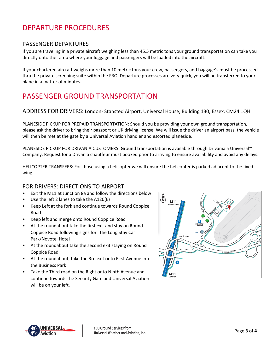## DEPARTURE PROCEDURES

#### PASSENGER DEPARTURES

If you are traveling in a private aircraft weighing less than 45.5 metric tons your ground transportation can take you directly onto the ramp where your luggage and passengers will be loaded into the aircraft.

If your chartered aircraft weighs more than 10 metric tons your crew, passengers, and baggage's must be processed thru the private screening suite within the FBO. Departure processes are very quick, you will be transferred to your plane in a matter of minutes.

## PASSENGER GROUND TRANSPORTATION

ADDRESS FOR DRIVERS: London- Stansted Airport, Universal House, Building 130, Essex, CM24 1QH

PLANESIDE PICKUP FOR PREPAID TRANSPORTATION: Should you be providing your own ground transportation, please ask the driver to bring their passport or UK driving license. We will issue the driver an airport pass, the vehicle will then be met at the gate by a Universal Aviation handler and escorted planeside.

PLANESIDE PICKUP FOR DRIVANIA CUSTOMERS: Ground transportation is available through Drivania a Universal™ Company. Request for a Drivania chauffeur must booked prior to arriving to ensure availability and avoid any delays.

HELICOPTER TRANSFERS: For those using a helicopter we will ensure the helicopter is parked adjacent to the fixed wing.

#### FOR DRIVERS: DIRECTIONS TO AIRPORT

- Exit the M11 at Junction 8a and follow the directions below
- Use the left 2 lanes to take the A120(E)
- Keep Left at the fork and continue towards Round Coppice Road
- Keep left and merge onto Round Coppice Road
- At the roundabout take the first exit and stay on Round Coppice Road following signs for the Long Stay Car Park/Novotel Hotel
- At the roundabout take the second exit staying on Round Coppice Road
- At the roundabout, take the 3rd exit onto First Avenue into the Business Park
- Take the Third road on the Right onto Ninth Avenue and continue towards the Security Gate and Universal Aviation will be on your left.